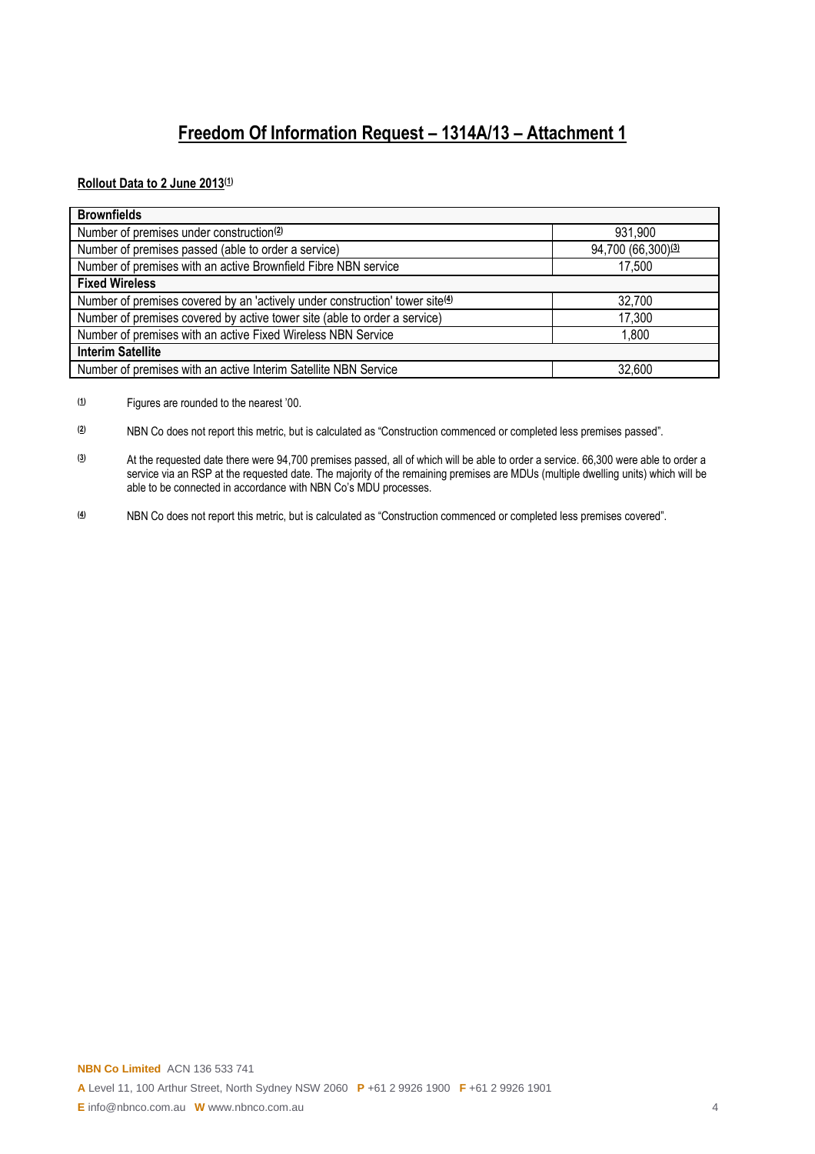## **Freedom Of Information Request – 1314A/13 – Attachment 1**

**Rollout Data to 2 June 2013(1)**

| <b>Brownfields</b>                                                           |                    |
|------------------------------------------------------------------------------|--------------------|
| Number of premises under construction <sup>(2)</sup>                         | 931,900            |
| Number of premises passed (able to order a service)                          | 94,700 (66,300)(3) |
| Number of premises with an active Brownfield Fibre NBN service               | 17,500             |
| <b>Fixed Wireless</b>                                                        |                    |
| Number of premises covered by an 'actively under construction' tower site(4) | 32,700             |
| Number of premises covered by active tower site (able to order a service)    | 17,300             |
| Number of premises with an active Fixed Wireless NBN Service                 | 1,800              |
| <b>Interim Satellite</b>                                                     |                    |
| Number of premises with an active Interim Satellite NBN Service              | 32,600             |

**(1)** Figures are rounded to the nearest '00.

**(2)** NBN Co does not report this metric, but is calculated as "Construction commenced or completed less premises passed".

**(3)** At the requested date there were 94,700 premises passed, all of which will be able to order a service. 66,300 were able to order a service via an RSP at the requested date. The majority of the remaining premises are MDUs (multiple dwelling units) which will be able to be connected in accordance with NBN Co's MDU processes.

**(4)** NBN Co does not report this metric, but is calculated as "Construction commenced or completed less premises covered".